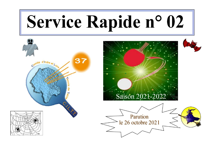# Service Rapide n° 02



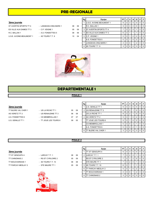# PRE-REGIONALE

| STAVERTIN SPORTS TT4     |
|--------------------------|
| ES VILLE AUX DAMES TT 3  |
| R.C. BALLAN 1            |
| U.S.E. AVOINE-BEAUMONT 1 |

| - LANGEAIS-CINQ MARS 1                                               |
|----------------------------------------------------------------------|
| - C.P. VEIGNE 1                                                      |
| - A.S. FONDETTES 5                                                   |
| $\lambda$ $\sim$ $\sim$ $\lambda$ $\sim$ $\sim$ $\sim$ $\sim$ $\sim$ |

|                          |                        |    |     | Rg                       | Equipe                            | <b>PT J J V   N  </b> |                |              |                         | D I | <b>P</b> F |
|--------------------------|------------------------|----|-----|--------------------------|-----------------------------------|-----------------------|----------------|--------------|-------------------------|-----|------------|
| 3ème journée             |                        |    |     |                          | <b>IU.S.E. AVOINE-BEAUMONT 1</b>  | 9                     | 3 <sup>1</sup> | 3            | $\Omega$                |     | $0$   $0$  |
| ST AVERTIN SPORTS TT 4   | - LANGEAIS-CINQ MARS 1 | 08 | 06  | $\overline{\phantom{a}}$ | IR.C. BALLAN 1                    | 9                     | 3              | - 3 I        | $\Omega$                |     | $0$   $0$  |
| ES VILLE AUX DAMES TT 3  | $-$ C.P. VEIGNE 1      | 05 | -09 | 3                        | <b>IST AVERTIN SPORTS TT 4</b>    |                       | 3              | $^{\circ}$ 2 | $\Omega$                |     | $0$   $0$  |
| R.C. BALLAN 1            | - A.S. FONDETTES 5     | 08 | 06  |                          | 4 <b>IES VILLE AUX DAMES TT 3</b> | 6                     | 3              |              |                         |     | $01$ 0     |
| U.S.E. AVOINE-BEAUMONT 1 | - 4S TOURS T.T. 9      | 10 | 04  |                          | 5 C.P. VEIGNE 1                   | 5                     | 3              |              | $\Omega$                | 2   | $0$   $0$  |
|                          |                        |    |     |                          | - IA.S. FONDETTES 5               | 5                     | 3              |              | $\Omega$                | 2   | $0$   $0$  |
|                          |                        |    |     |                          | <b>LANGEAIS-CINQ MARS 1</b>       | 4                     | 3              |              |                         |     | $01$ 0     |
|                          |                        |    |     | 8                        | <b>I</b> 4S TOURS T.T. 9          | 3                     | 3   0          |              | $^{\circ}$ 0 $^{\circ}$ | 3   | $0$   0    |



# DEPARTEMENTALE 1

#### POULE 1

#### 3ème journée

- U.S. GENILLE TT 1 TT JOUE LES TOURS 6 09 05
- TT BLERE VAL CHER 1 US LA RICHE TT 1 05 AS VERETZ TT 2  $\qquad \qquad$  - US RENAUDINE TT 3 3 06 A.S. FONDETTES 6 - CS MEMBROLLAIS 1 07

| 5 | 09 |
|---|----|
| 6 | 08 |
| 7 | 07 |

| Rg             | Equipe                      | PT |   | ν              | N              | D | Ρ | F |
|----------------|-----------------------------|----|---|----------------|----------------|---|---|---|
|                | <b>I</b> U.S. GENILLE TT 1  | 9  | 3 | 3              | 0              | 0 | 0 | 0 |
| $\overline{2}$ | <b>IUS RENAUDINE TT 3</b>   | 8  | 3 | $\overline{2}$ |                | 0 | 0 | O |
|                | <b>IUS LA RICHE TT 1</b>    | 8  | 3 | $\overline{2}$ |                | 0 | 0 | O |
| 4              | <b>AS VERETZ TT 2</b>       | 5  | 3 | 1              | 0              | 2 | 0 | 0 |
|                | <b>ITT JOUE LES TOURS 6</b> | 5  | 3 |                | 0              | 2 | 0 | U |
|                | <b>ICS MEMBROLLAIS 1</b>    | 5  | 3 | 0              | 2              |   | 0 | O |
|                | <b>A.S. FONDETTES 6</b>     | 5  | 3 | ŋ              | $\overline{2}$ |   | O | O |
| 8              | TT BLERE VAL CHER 1         | 3  | 3 |                |                | 3 |   | ŋ |

## POULE 2

- TT BOUCHARDAIS 1 4S TOURS T.T. 10 TT PARCAY-MESLAY 2 - STE MAURE TT 1 05 09
- TT ST GENOUPH 4 LARCAY T.T. 1 TT CHINONAIS 2 - RS ST CYR/LOIRE 2
	-



| 08 | 06 |
|----|----|
| 05 | 09 |
| 06 | 08 |
| 05 | ng |

|                    |                     |    |    | Rg | Equipe                  | PT I | J | $\mathsf{v}$ | N        | D I |   | PF             |
|--------------------|---------------------|----|----|----|-------------------------|------|---|--------------|----------|-----|---|----------------|
| 3ème journée       |                     |    |    |    | <b>ITT ST GENOUPH 4</b> | 9    | 3 | 3            | $\Omega$ | 0   |   | $\overline{0}$ |
| TT ST GENOUPH 4    | - LARCAY T.T. 1     | 08 | 06 |    | 2 LARCAY T.T. 1         |      | 3 | 2            | 0        |     | 0 | $\overline{0}$ |
| TT CHINONAIS 2     | - RS ST CYR/LOIRE 2 | 05 | 09 |    | - IRS ST CYR/LOIRE 2    |      | 3 |              | 2        |     |   | $\overline{0}$ |
| TT BOUCHARDAIS 1   | $-4S$ TOURS T.T. 10 | 06 | 08 |    | - ISTE MAURE TT 1       |      |   |              | 0        |     |   | $\overline{0}$ |
| TT PARCAY-MESLAY 2 | - STE MAURE TT 1    | 05 | 09 |    | 5 4S TOURS T.T. 10      | 6    |   |              |          |     |   | $\overline{0}$ |
|                    |                     |    |    | 6  | TT PARCAY-MESLAY 2      | 5    | 3 |              | $\Omega$ | 2   |   | $\overline{0}$ |
|                    |                     |    |    |    | <b>FBOUCHARDAIS1</b>    | 4    | 3 | - 0          |          | 2   |   | $0$   $0$      |
|                    |                     |    |    | 8  | ITT CHINONAIS 2         | 3    |   |              | 0        | 3   |   | $\overline{0}$ |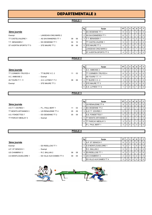# DEPARTEMENTALE 2

#### POULE 1

'n

|                           |                        |    |    | Rg | Equipe                         | PTIJIVI |   |    | N        | D I | PF             |
|---------------------------|------------------------|----|----|----|--------------------------------|---------|---|----|----------|-----|----------------|
| 3ème journée              |                        |    |    |    | <b>IES OESIENNE TT 1</b>       | 8       | 3 | -2 |          |     | $0$   $0$      |
| Exempt                    | - LANGEAIS-CINQ MARS 2 |    |    |    | <b>AS SAVONNIERES TT 1</b>     | 6       | 3 |    |          |     | 0 <sub>0</sub> |
| <b>TT CASTELVALERIE 1</b> | - AS SAVONNIERES TT 1  | 08 | 06 | 3  | <b>IT.T. BENAISIEN 1</b>       |         | 3 |    | 0        |     | $0$   $0$      |
| T.T. BENAISIEN 1          | - ES OESIENNE TT 1     | 04 | 10 |    | <b>ITT CASTELVALERIE 1</b>     | 5       | 3 |    | $\Omega$ |     | $0$   $0$      |
| ST AVERTIN SPORTS TT 5    | - STE MAURE TT 2       | 08 | 06 | 5  | <b>ISTE MAURE TT 2</b>         | 4       | 2 |    | $\Omega$ |     | 0 <sub>0</sub> |
|                           |                        |    |    |    | <b>LANGEAIS-CINQ MARS 2</b>    | 4       | 2 |    | $\Omega$ |     | 0 <sub>0</sub> |
|                           |                        |    |    |    | <b>IST AVERTIN SPORTS TT 5</b> | 4       |   |    | 0        |     | $0$   0        |

## POULE 2

## Rg │ Equipe │ PT │ J │ V │ N │ D │ P │ F │ 3ème journée 1 A.C. AMBOISE 2 6 2 2 0 0 0 0 TT CORMERY-TRUYES 4 - TT BLERE V.C. 2 11 03 - TT CORMERY-TRUYES 4 6 2 2 0 0 0 0 0 A.C. AMBOISE 2 - Exempt - 4S TOURS T.T. 11 6 2 2 0 0 0 0 4S TOURS T.T. 11 - A.S. LUYNES T.T 2 08 06 4 TT BLERE V.C. 2 3 3 3 0 0 3 0 3 0 0 Exempt STE MAURE TT 3 5 STE MAURE TT 3 5 STE MAURE TT 3 2 2 0 0 2 0 0 6 A.S. LUYNES T.T 2 | 1 | 1 | 0 | 0 | 1 | 0 | 0

#### POULE 3

| 3ème journée |  |
|--------------|--|
|              |  |
|              |  |

- TT PARCAY-MESLAY 3 Exempt
- A.S.T.T. ESVRES 1 P.L. PAUL BERT 1 11 03 TT MONTS ARTANNES 3 - US RENAUDINE TT 4 05 09 A.S. FONDETTES 7 - ES OESIENNE TT 2 05 09

|                     |                     |    |    |    |                             |      |     | v            | N        |     | PF             |
|---------------------|---------------------|----|----|----|-----------------------------|------|-----|--------------|----------|-----|----------------|
|                     |                     |    |    | Rg | Equipe                      | PT I | ال- |              |          | D I |                |
| 3ème journée        |                     |    |    |    | <b>IUS RENAUDINE TT 4</b>   | 9    |     | 3   3        | l 0      |     | $0$   $0$      |
| A.S.T.T. ESVRES 1   | - P.L. PAUL BERT 1  | 11 | 03 |    | 2 IES OESIENNE TT 2         |      | 3   | $^{\circ}$ 2 | - 0      |     | $01$ 0         |
| TT MONTS ARTANNES 3 | - US RENAUDINE TT 4 | 05 | 09 |    | 3 A.S.T.T. ESVRES 1         | 5    |     |              |          |     | $0$   $0$      |
| A.S. FONDETTES 7    | - ES OESIENNE TT 2  | 05 | 09 |    | <b>JA.S. FONDETTES 7</b>    | 5    | 3   |              | $\Omega$ |     | $\overline{0}$ |
| TT PARCAY-MESLAY 3  | - Exempt            |    |    | 5  | <b>ITT MONTS ARTANNES 3</b> | 4    | 2   |              | $\Omega$ |     | $0$   $0$      |
|                     |                     |    |    |    | 6 ITT PARCAY-MESLAY 3       | 3    |     |              |          |     | $\overline{0}$ |
|                     |                     |    |    |    | <b>IP.L. PAUL BERT 1</b>    | 3    | 3 I | $\Omega$     | 0        | 3   | $0$   $0$      |

### POULE 4

| 3ème journée          |                           |    |    |  |  |  |  |  |  |  |  |  |
|-----------------------|---------------------------|----|----|--|--|--|--|--|--|--|--|--|
| Exempt                | - ES RIDELLOIS TT 1       |    |    |  |  |  |  |  |  |  |  |  |
| A.P. ST SENOCH 1      | - Exempt                  |    |    |  |  |  |  |  |  |  |  |  |
| US CHAMBRAY 2         | $-$ R.C. BALLAN 2         | 06 | 08 |  |  |  |  |  |  |  |  |  |
| A.S MONTLOUIS/LOIRE 1 | - ES VILLE AUX DAMES TT 4 | 09 | 05 |  |  |  |  |  |  |  |  |  |

|                       |                           |    |    | Rg | Equipe                         | <b>PT</b> | v | N | D <sub>1</sub> | PIF              |
|-----------------------|---------------------------|----|----|----|--------------------------------|-----------|---|---|----------------|------------------|
| 3ème journée          |                           |    |    |    | IA.P. ST SENOCH 1              | 6         |   |   |                | 0 <sub>10</sub>  |
| Exempt                | - ES RIDELLOIS TT 1       |    |    |    | 2 A.S MONTLOUIS/LOIRE 1        | 5         |   |   |                | $\overline{0}$   |
| A.P. ST SENOCH 1      | - Exempt                  |    |    |    | R.C. BALLAN 2                  | 5         |   |   |                | 0 <sub>0</sub>   |
| US CHAMBRAY 2         | - R.C. BALLAN 2           | 06 | 08 |    | 4 <b>ES RIDELLOIS TT 1</b>     | 4         |   | 0 |                | $\overline{1}$ 0 |
| A.S MONTLOUIS/LOIRE 1 | - ES VILLE AUX DAMES TT 4 | 09 | 05 |    | 5 IUS CHAMBRAY 2               |           |   |   |                | 0 1 0            |
|                       |                           |    |    |    | <b>ES VILLE AUX DAMES TT 4</b> |           |   |   |                | $01$ 0           |

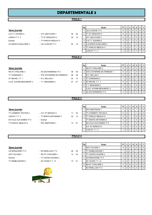# DEPARTEMENTALE 3

## POULE 1

|                       |                      |    |    | Rg | Equipe                     | PT I | JΙ             | V              | N        | D |                | PF             |
|-----------------------|----------------------|----|----|----|----------------------------|------|----------------|----------------|----------|---|----------------|----------------|
| 3ème journée          |                      |    |    |    | <b>IUS LA RICHE TT 3</b>   | 9    |                | 3   3          | l 0      |   |                | $0$   $0$      |
| A.S.T.T. ESVRES 2     | - ATT AZAY/CHER 1    | 05 | 09 |    | 2 ITT ST GENOUPH 5         | 6    | 2 <sub>1</sub> | $^{\circ}$ 2   | $\Omega$ |   |                | $0$   $0$      |
| LARCAY T.T. 2         | - TT ST GENOUPH 5    | 04 | 10 |    | - ATT AZAY/CHER 1          | 6    | 2 <sup>1</sup> | 12             | $\Omega$ |   | $01$ 0         |                |
| Exempt                | - TT PARCAY-MESLAY 5 |    |    |    | 4 A.S.T.T. ESVRES 2        | 5    | 3              |                | $\Omega$ |   | 0 <sub>0</sub> |                |
| A.S MONTLOUIS/LOIRE 2 | - US LA RICHE TT 3   | 04 | 10 |    | 5 A.S MONTLOUIS/LOIRE 2    | 4    | 3 I            | - 0            |          |   |                | 0 <sub>0</sub> |
|                       |                      |    |    | 6  | <b>ITT PARCAY-MESLAY 5</b> | 3    | 2              |                |          |   |                | $\overline{0}$ |
|                       |                      |    |    |    | LARCAY T.T. 2              | 3    | 3 I            | $\overline{0}$ | 0        | 3 |                | $0$   $0$      |
|                       |                      |    |    |    |                            |      |                |                |          |   |                |                |

#### POULE 2

#### 3ème journée

| RS ST CYR/LOIRE 3        | - AS SAVONNIERES TT 2         | 08  | 06 |
|--------------------------|-------------------------------|-----|----|
| TT CHINONAIS 3           | - STE CATHERINE DE FIERBOIS 1 | 06. | 08 |
| ST MICHEL T.T. 1         | $-R.C. BALLAN 3$              | 04  | 10 |
| U.S.E. AVOINE-BEAUMONT 2 | - T.T. BENAISIEN 2            | በ7  | 07 |
|                          |                               |     |    |

|                          |                               |    |    | Rg | Equipe                          | PT I | J              | V              | N        | D              | PF             |
|--------------------------|-------------------------------|----|----|----|---------------------------------|------|----------------|----------------|----------|----------------|----------------|
| 3ème journée             |                               |    |    |    | <b>IRS ST CYR/LOIRE 3</b>       | 9    | 3 <sup>1</sup> | -3             | $\Omega$ |                | 0 <sub>0</sub> |
| RS ST CYR/LOIRE 3        | - AS SAVONNIERES TT 2         | 08 | 06 |    | 2 STE CATHERINE DE FIERBOIS 1   | 8    | 3              |                |          |                | $0$   $0$      |
| TT CHINONAIS 3           | - STE CATHERINE DE FIERBOIS 1 | 06 | 08 |    | R.C. BALLAN 3                   | 8    | 3              |                |          |                | $0$   0        |
| ST MICHEL T.T. 1         | - R.C. BALLAN 3               | 04 | 10 |    | 4 <b>ITT CHINONAIS 3</b>        |      | 3              | $\overline{2}$ | $\Omega$ |                | $0$   $0$      |
| U.S.E. AVOINE-BEAUMONT 2 | - T.T. BENAISIEN 2            | 07 | 07 |    | 5 IST MICHEL T.T. 1             | 5    | 3              |                | $\Omega$ | 2              | 0 <sub>0</sub> |
|                          |                               |    |    | 6  | IT.T. BENAISIEN 2               | 4    | 3 I            | - 0            |          | 2              | $01$ 0         |
|                          |                               |    |    |    | <b>U.S.E. AVOINE-BEAUMONT 2</b> | 4    | 3 I            | $\overline{0}$ |          | $\overline{2}$ | 0 <sub>0</sub> |
|                          |                               |    |    |    | 8 AS SAVONNIERES TT 2           | 3    |                | 3   0          | l 0      | 3              | $0$   $0$      |

#### POULE 3

#### 3ème journée

| - A.P. ST SENOCH 2    |    | 03  |  |                                                                                                                        |  |  |  |
|-----------------------|----|-----|--|------------------------------------------------------------------------------------------------------------------------|--|--|--|
| - TT MONTS ARTANNES 5 | 02 | -12 |  |                                                                                                                        |  |  |  |
| - Exempt              |    |     |  |                                                                                                                        |  |  |  |
| - PPC MARTINOIS 1     | 13 | 01  |  |                                                                                                                        |  |  |  |
|                       |    |     |  | <b>ITT CORMERY-TRUYES 5</b><br>3 ITT PARCAY MESLAY 6<br><b>ITT MONTS ARTANNES 5</b><br><b>IES VILLE AUX DAMES TT 5</b> |  |  |  |

| Rg             | Equipe                          | РT |   |   | N | D | P        | F        |
|----------------|---------------------------------|----|---|---|---|---|----------|----------|
|                | <b>PPC MARTINOIS 1</b>          |    | 3 | 2 | 0 |   | 0        | 0        |
| $\mathfrak{p}$ | <b>ITT CORMERY-TRUYES 5</b>     | 6  | 3 |   |   |   | 0        | $\Omega$ |
| 3              | <b>ITT PARCAY MESLAY 6</b>      | 5  | 2 |   |   | 0 | 0        | $\Omega$ |
|                | <b>ITT MONTS ARTANNES 5</b>     | 5  | 2 |   |   | 0 | 0        | $\Omega$ |
|                | <b>IES VILLE AUX DAMES TT 5</b> | 5  | 2 |   |   | 0 | 0        | $\Omega$ |
|                | <b>IA.P. ST SENOCH 2</b>        | 5  | 3 |   | 0 | 2 | $\Omega$ | $\Omega$ |
|                | LARCAY T.T. 3                   | 3  | 3 |   | U | 3 | n        | ŋ        |

## POULE 4

#### 3ème journée

- 
- US RENAUDINE TT 5 ES RIDELLOIS TT 2 08 06 ASTT DU NAIS 1 - RS ST CYR/LOIRE 4 12 02 Exempt - TT CASTELVALERIE 2 TT SEMBLANCEEN 1 - 4S TOURS T.T. 12 13 01



| Rg             | Equipe                    | PT |   | ٧              | N        | D              | P        | F        |
|----------------|---------------------------|----|---|----------------|----------|----------------|----------|----------|
|                | ASTT DU NAIS 1            | 9  | 3 | 3              | 0        | 0              | 0        | $\Omega$ |
| $\mathfrak{p}$ | ITT SEMBLANCEEN 1         |    | 3 | $\overline{2}$ | $\Omega$ |                | $\Omega$ | $\Omega$ |
| 3              | <b>TT CASTELVALERIE 2</b> | 6  | 2 | $\overline{2}$ | 0        | $\Omega$       | 0        | $\Omega$ |
| 4              | <b>US RENAUDINE TT 5</b>  | 5  | 3 |                | 0        | $\overline{2}$ | $\Omega$ | $\Omega$ |
|                | <b>48 TOURS T.T. 12</b>   | 5  | 3 |                | 0        | 2              | 0        | $\Omega$ |
| 6              | <b>IRS ST CYR/LOIRE 4</b> | 2  | 2 | 0              | $\Omega$ | 2              | 0        | $\Omega$ |
|                | <b>ES RIDELLOIS TT 2</b>  | 2  | ◠ | O              | 0        | $\overline{2}$ | O        | $\Omega$ |

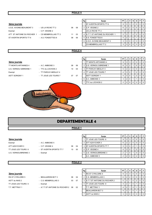#### POULE 5

|                            |                       |    |      | Rg | Equipe                          | PT I | J              | v I          | N        | D I            | PIF            |
|----------------------------|-----------------------|----|------|----|---------------------------------|------|----------------|--------------|----------|----------------|----------------|
| 3ème journée               |                       |    |      |    | <b>IST AVERTIN SPORTS TT 6</b>  |      | 3              | - 3 I        | $\Omega$ | $\Omega$       | $0$   $0$      |
| U.S.E. AVOINE-BEAUMONT 3   | - US LA RICHE TT 2    | 06 | 08   |    | <b>IC.P. VEIGNE 2</b>           | 6    | 2 <sup>1</sup> | $^{\circ}$ 2 | $\Omega$ | 0 <sup>1</sup> | 0 <sub>0</sub> |
| Exempt                     | $-$ C.P. VEIGNE 2     |    |      |    | <b>IUS LA RICHE TT 2</b>        | 6    | 121            | . 2          | $\Omega$ | $\Omega$       | $0$   $0$      |
| ATT ST ANTOINE DU ROCHER 1 | - CS MEMBROLLAIS TT 2 | 11 | 03   |    | 4 A.T.T. ST ANTOINE DU ROCHER 1 | 5    | 3              |              | $\Omega$ | 2              | $0$   $0$      |
| ST AVERTIN SPORTS TT 6     | - A.S. FONDETTES 8    | 08 | - 06 |    | 5 A.S. FONDETTES 8              | 4    | 2              |              | $\Omega$ |                | 0 <sub>0</sub> |
|                            |                       |    |      |    | 6 U.S.E. AVOINE-BEAUMONT 3      | 3    | 3 I            | $\Omega$     | $\Omega$ | 3 <sub>1</sub> | $0$   $0$      |
|                            |                       |    |      |    | <b>ICS MEMBROLLAIS TT 2</b>     |      | 3 I            | $\Omega$     | $\Omega$ | 3              | 0 <sub>0</sub> |

#### POULE 6

Rg │ Equipe │ PT │ J │ V │ N │ D │ P │ F │ 3ème journée du comme de la comme de la partie de la partie de la partie de la partie de la partie de la partie de la partie de la partie de la partie de la partie de la partie de la partie de la partie de la partie de la TT MONTS ARTANNES 4 - A.C. AMBOISE 3 08 06 2 U.S. VERNOU S/BRENNE 1 8 3 2 1 0 0 0 U.S. VERNOU S/BRENNE 1 - TTC du LOCHOIS 2 10 04  $\begin{bmatrix} 3 & \text{TT} \text{PARCAY-MESLAY 4 & \text{G2} \end{bmatrix}$ Exempt FRANCAY-MESLAY 4 4 4 3 0 1 2 0 0 ASTT SORIGNY 1 - TT JOUE LES TOURS 7 07 07 - ASTT SORIGNY 1 4 3 0 1 2 0 0 6 A.C. AMBOISE 3 3 2 0 1 1 0 0 7 TTC du LOCHOIS 2 2 2 0 0 2 0 0



# DEPARTEMENTALE 4

## POULE 1

#### 3ème journée

| seme journee        |                          |     |    |
|---------------------|--------------------------|-----|----|
| Exempt              | - A.C. AMBOISE 5         |     |    |
| ATT AZAY/CHER 3     | $-$ C.P. VEIGNE 4        | 06  | 04 |
| TT JOUE LES TOURS 8 | - ST AVERTIN SPORTS TT 7 | 10. | 00 |

|                      |                          |    |    | Rg | Equipe                      | <b>PT</b> |     | v | N | D | PIF            |                |
|----------------------|--------------------------|----|----|----|-----------------------------|-----------|-----|---|---|---|----------------|----------------|
| 3ème journée         |                          |    |    |    | <b>ITT JOUE LES TOURS 8</b> | 9         | 3   | 3 |   |   | 0 <sub>0</sub> |                |
| Exempt               | - A.C. AMBOISE 5         |    |    |    | <b>ATT AZAY/CHER 3</b>      | 6         |     |   |   |   | 0 <sub>0</sub> |                |
| ATT AZAY/CHER 3      | $-$ C.P. VEIGNE 4        | 06 | 04 |    | 3 IST AVERTIN SPORTS TT 7   | 5         | 3 I |   |   |   |                | $\overline{0}$ |
| TT JOUE LES TOURS 8  | - ST AVERTIN SPORTS TT 7 | 10 | 00 |    | 4 C.P. VEIGNE 4             | 4         | 3   |   |   |   |                | $\overline{0}$ |
| U.S. VERNOU/BRENNE 3 | - Exempt                 |    |    |    | 5 JU.S. VERNOU/BRENNE 3     |           |     |   |   |   |                | $\overline{0}$ |
|                      |                          |    |    |    | A.C. AMBOISE 5              |           |     |   |   |   |                | $\overline{0}$ |

#### POULE 2

#### 3ème journée

| - BEAUJARDIN BCT 3                | 06. | 04 |
|-----------------------------------|-----|----|
| - C.S. MEMBROLLAIS 3              | 03  | 07 |
| - Exempt                          |     |    |
| - A.T.T.ST ANTOINE DU ROCHER 2 08 |     | 02 |
|                                   |     |    |

|                     |                                   |    |      | Rg | Equipe                         | <b>PT</b> |   | $\mathsf{v}$ | <b>N</b> | DI | PIF                |
|---------------------|-----------------------------------|----|------|----|--------------------------------|-----------|---|--------------|----------|----|--------------------|
| 3ème journée        |                                   |    |      |    | <b>IRS ST CYR/LOIRE 5</b>      | 9         | 3 | 3            | 0        |    | $\overline{0}$     |
| RS ST CYR/LOIRE 5   | - BEAUJARDIN BCT 3                | 06 | 04   |    | 2 IC.S. MEMBROLLAIS 3          | 6         |   |              | $\Omega$ |    | $0$   $0$          |
| ASTT du NAIS 2      | - C.S. MEMBROLLAIS 3              | 03 | - 07 |    | 3 A.T.T.ST ANTOINE DU ROCHER 2 | 5         | 3 |              | $\Omega$ | 2  | $\cdot$ 10 $\cdot$ |
| TT JOUE LES TOURS 9 | - Exempt                          |    |      |    | <b>ITT JOUE LES TOURS 9</b>    | 4         |   |              | 0        |    | . . 0 .            |
| T.T. METTRAY 1      | - A.T.T.ST ANTOINE DU ROCHER 2 08 |    | 02   |    | - IT.T. METTRAY 1              | 4         |   |              |          |    | $\overline{0}$     |
|                     |                                   |    |      |    | - BEAUJARDIN BCT 3             | 4         |   |              | $\Omega$ |    |                    |
|                     |                                   |    |      |    | ASTT du NAIS 2                 | 3         |   | 300          | ∣ O      |    | $\overline{101}$   |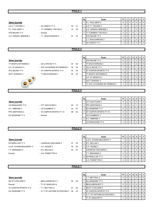### POULE 3

|                          |                               |    |                | Rg                       | Equipe                         | PT             | J                | V              | N              | D              | P           | $\mathsf F$    |  |
|--------------------------|-------------------------------|----|----------------|--------------------------|--------------------------------|----------------|------------------|----------------|----------------|----------------|-------------|----------------|--|
| 3ème journée             |                               |    |                | $\mathbf{1}$             | P.L. PAUL BERT 2               | 9              | 3                | 3              | $\mathbf 0$    | $\mathbf 0$    | $\Omega$    | $\mathbf 0$    |  |
| A.S.T.T. ESVRES 3        | - AS VERETZ TT 3              | 09 | 01             | 2                        | A.S.T.T. ESVRES 3              | $\overline{7}$ | $\sqrt{3}$       | $\mathbf{1}$   | $\overline{2}$ | 0              | $\mathbf 0$ | $\mathbf 0$    |  |
| P.L. PAUL BERT 2         | - TT CORMERY-TRUYES 6         | 10 | 00             | 3                        | U.S. VERNOU /BRENNE 2          | 5              | $\overline{2}$   | $\mathbf{1}$   | $\mathbf{1}$   | $\mathbf 0$    | $\mathbf 0$ | $\mathbf 0$    |  |
| STE MAURE TT 5           | - Exempt                      |    |                | 4                        | TT CORMERY-TRUYES 6            | $\overline{4}$ | $\boldsymbol{2}$ | $\mathbf{1}$   | $\mathbf 0$    | $\mathbf{1}$   | $\mathbf 0$ | $\mathbf 0$    |  |
| U.S. VERNOU /BRENNE 2    | - T.T. BOUCHARDAIS 3          | 07 | 03             |                          | STE MAURE TT 5                 | $\overline{4}$ | $\sqrt{2}$       | $\mathbf{1}$   | $\mathbf 0$    | $\mathbf{1}$   | $\mathbf 0$ | $\mathbf 0$    |  |
|                          |                               |    |                |                          | <b>IT.T. BOUCHARDAIS 3</b>     | 4              | 3                | $\mathsf 0$    | $\mathbf{1}$   | $\overline{2}$ | $\mathbf 0$ | $\mathbf 0$    |  |
|                          |                               |    |                | $\overline{7}$           | AS VERETZ TT 3                 | 3              | 3                | $\mathbf 0$    | $\mathbf 0$    | 3              | $\mathbf 0$ | $\mathbf 0$    |  |
|                          |                               |    |                |                          |                                |                |                  |                |                |                |             |                |  |
|                          |                               |    | <b>POULE 4</b> |                          |                                |                |                  |                |                |                |             |                |  |
|                          |                               |    |                |                          |                                |                |                  |                |                |                |             |                |  |
|                          |                               |    |                |                          |                                |                |                  |                |                |                |             |                |  |
|                          |                               |    |                | Rg                       | Equipe                         | PT             | J                | V              | N              | D              | P           | F              |  |
| 3ème journée             |                               |    |                | $\mathbf{1}$             | STE MAURE TT 4                 | 8              | $\mathbf{3}$     | $\overline{2}$ |                | $\mathbf 0$    | $\mathbf 0$ | $\mathbf 0$    |  |
| TT MONTS ARTANNES 6      | - US LA RICHE TT 4            | 04 | 06             |                          | <b>TT BOUCHARDAIS 2</b>        | 8              | $\mathbf{3}$     | $\overline{2}$ | $\mathbf{1}$   | $\pmb{0}$      | $\mathbf 0$ | $\mathbf 0$    |  |
| A.P. ST SENOCH 3         | - STE CATHERINE DE FIERBOIS 2 | 06 | 04             | 3                        | <b>JUS LA RICHE TT 4</b>       | $\overline{7}$ | 3                | $\overline{2}$ | $\mathbf 0$    | $\mathbf{1}$   | $\mathbf 0$ | $\mathbf 0$    |  |
| STE MAURE TT 4           | - ST AVERTIN SPORTS TT 9      | 05 | 05             | 4                        | ST AVERTIN SPORTS TT 9         | 5              | $\sqrt{2}$       | $\mathbf{1}$   | 1              | 0              | $\Omega$    | $\mathbf 0$    |  |
| <b>ASTT SORIGNY 2</b>    | - TT BOUCHARDAIS 2            | 05 | 05             | $\overline{\phantom{a}}$ | <b>TT MONTS ARTANNES 6</b>     | 5              | $\mathbf{3}$     | $\mathbf{1}$   | $\mathbf 0$    | $\overline{2}$ | $\mathbf 0$ | $\mathbf 0$    |  |
|                          |                               |    |                | $\mathbf{r}$             |                                | 5              | 3                | $\mathbf{1}$   | $\mathbf 0$    |                | $\mathbf 0$ | $\mathbf 0$    |  |
|                          |                               |    |                |                          | A.P. ST SENOCH 3               |                |                  |                |                | $\overline{2}$ |             |                |  |
| $\bullet$<br>O           |                               |    |                | $\overline{7}$           | <b>ASTT SORIGNY 2</b>          | 3              | $\sqrt{2}$       | $\mathsf 0$    | $\mathbf{1}$   | $\mathbf{1}$   | $\mathbf 0$ | $\mathbf 0$    |  |
|                          |                               |    |                |                          | TT STE CATHERINE DE FIERBOIS 2 | 3              | 3                | $\mathbf 0$    | $\mathbf 0$    | 3              | $\mathbf 0$ | $\mathbf 0$    |  |
|                          |                               |    |                |                          |                                |                |                  |                |                |                |             |                |  |
| POULE <sub>5</sub>       |                               |    |                |                          |                                |                |                  |                |                |                |             |                |  |
|                          |                               |    |                |                          |                                |                |                  |                |                |                |             |                |  |
|                          |                               |    |                | Rg                       | Equipe                         | PT             | J                | v              | N              | D              | P           | $\mathsf F$    |  |
| 3ème journée             |                               |    |                | $\mathbf{1}$             | ATT AZAY/CHER 2                | 9              | $\mathsf 3$      | 3              | $\mathbf 0$    | $\mathbf 0$    | $\mathbf 0$ | $\mathbf 0$    |  |
| US RENAUDINE TT 6        | - ATT AZAY/CHER 2             | 00 | 10             | 2                        | <b>PPC MARTINOIS 2</b>         | $\overline{7}$ | $\mathbf{3}$     | $\overline{2}$ | $\mathbf 0$    | $\mathbf{1}$   | $\mathbf 0$ | $\mathbf 0$    |  |
| A.C. AMBOISE 4           | - US CHAMBRAY 3               | 03 | 07             | 3                        | <b>ES OESIENNE TT 4</b>        | 6              | $\overline{2}$   | $\overline{2}$ | $\mathbf 0$    | 0              | $\mathbf 0$ | $\mathbf 0$    |  |
| PPC MARTINOIS 2          | - ST AVERTIN SPORTS TT 10     | 06 | 04             | 4                        | ST AVERTIN SPORTS TT 10        | 5              | $\sqrt{3}$       | $\mathbf{1}$   | 0              | 2              | $\mathbf 0$ | $\overline{0}$ |  |
|                          |                               |    |                |                          | US CHAMBRAY 3                  | 5              | $\mathsf 3$      | $\mathbf{1}$   | $\mathbf 0$    | $\overline{2}$ | $\pmb{0}$   | $\mathbf 0$    |  |
| ES OESIENNE TT 4         | - Exempt                      |    |                | $\blacksquare$           |                                |                |                  |                |                |                |             |                |  |
|                          |                               |    |                | 6                        | A.C. AMBOISE 4                 | $\overline{2}$ | $\sqrt{2}$       | $\mathsf 0$    | $\mathbf 0$    | $\overline{2}$ | $\pmb{0}$   | $\mathbf 0$    |  |
|                          |                               |    |                |                          | US RENAUDINE TT 6              | $\overline{2}$ | $\overline{2}$   | $\mathbf 0$    | $\mathbf 0$    | $\overline{2}$ | $\Omega$    | $\mathbf 0$    |  |
|                          |                               |    |                |                          |                                |                |                  |                |                |                |             |                |  |
|                          |                               |    | <b>POULE 6</b> |                          |                                |                |                  |                |                |                |             |                |  |
|                          |                               |    |                |                          |                                |                |                  |                |                |                |             |                |  |
|                          |                               |    |                | Rg                       | Equipe                         | PT             | J                | V              | N              | D              | P           | $\mathsf F$    |  |
| 3ème journée             |                               |    |                | $\mathbf{1}$             | U.S.E. AVOINE-BEAUMONT 4       | $\overline{7}$ | 3                | $\overline{2}$ | $\mathbf 0$    | $\mathbf{1}$   | $\mathbf 0$ | $\mathbf 0$    |  |
| ES RIDELLOIS TT 3        | - LANGEAIS-CINQ MARS 3        | 07 | 03             | $\overline{2}$           | R.C. BALLAN 4                  | 6              | $\sqrt{2}$       | $\overline{2}$ | $\mathbf 0$    | 0              | $\mathsf 0$ | $\mathbf 0$    |  |
| U.S.E. AVOINE-BEAUMONT 4 | - C.P. VEIGNE 3               | 04 | 06             |                          | 3 C.P. VEIGNE 3                | 5              | 3                | $\mathbf{1}$   | 0              | $\overline{2}$ | $\mathbf 0$ | $\mathbf 0$    |  |
| T.T. BENAISIEN 3         | - R.C. BALLAN 4               | 03 | 07             |                          | <b>LANGEAIS-CINQ MARS 3</b>    | 5              | 3                | 1              | 0              | $\overline{2}$ | 0           | $\mathbf 0$    |  |
| Exempt                   | - A.S. FONDETTES 9            |    |                |                          | T.T. BENAISIEN 3               | 5              | 3                | 1              | 0              | $\overline{2}$ | 0           | $\mathbf 0$    |  |
|                          |                               |    |                |                          |                                |                |                  |                |                |                |             |                |  |
|                          |                               |    |                | 6                        | <b>ES RIDELLOIS TT 3</b>       | 4              | $\sqrt{2}$       | $\mathbf{1}$   | 0              | $\mathbf{1}$   | 0           | $\mathbf 0$    |  |
|                          |                               |    |                |                          | A.S. FONDETTES 9               | $\overline{4}$ | $\sqrt{2}$       | 1              | $\mathbf 0$    | $\mathbf{1}$   | $\mathbf 0$ | $\mathbf 0$    |  |
|                          |                               |    | <b>POULE 7</b> |                          |                                |                |                  |                |                |                |             |                |  |
|                          |                               |    |                |                          |                                |                |                  |                |                |                |             |                |  |
|                          |                               |    |                |                          |                                |                |                  |                |                |                |             |                |  |
|                          |                               |    |                | Rg                       | Equipe                         | PT             | J                | v              | N              | D              | P           | $\mathsf F$    |  |
| 3ème journée             |                               |    |                | $\mathbf{1}$             | T.T. METTRAY 2                 | $9\,$          | 3                | 3              | $\mathbf 0$    | 0              | $\mathbf 0$ | $\mathbf 0$    |  |
| RS ST CYR/LOIRE 6        | - BEAUJARDIN BCT 2            | 04 | 06             | 2                        | <b>ES OESIENNE TT 5</b>        | $\overline{7}$ | 3                | $\overline{2}$ | $\mathbf 0$    | $\mathbf{1}$   | 0           | $\mathbf 0$    |  |
| Exempt                   | - TT ST GENOUPH 6             |    |                | 3                        | <b>BEAUJARDIN BCT 2</b>        | 6              | $\overline{2}$   | $\overline{2}$ | $\mathbf 0$    | $\mathbf 0$    | $\mathbf 0$ | $\mathbf 0$    |  |

- 
- ST AVERTIN SPORTS TT 8 T.T. METTRAY 2 01 09
- ES OESIENNE TT 5 A.T.T.ST ANTOINE DU ROCHER 3 08 02

|   | IT.T. METTRAY 2                | 9              | 3              | 3              |   | 0              |   |   |
|---|--------------------------------|----------------|----------------|----------------|---|----------------|---|---|
| 2 | <b>ES OESIENNE TT 5</b>        | 7              | 3              | $\overline{2}$ | 0 |                | 0 | 0 |
| 3 | <b>BEAUJARDIN BCT 2</b>        | 6              | $\overline{2}$ | $\overline{2}$ | 0 | 0              | 0 | O |
| 4 | <b>IRS ST CYR/LOIRE 6</b>      | 5              | 3              |                | 0 | $\overline{2}$ | 0 | O |
|   | <b>IST AVERTIN SPORTS TT 8</b> | 5              | 3              |                | 0 | $\overline{2}$ | 0 | O |
| 6 | A.T.T.ST ANTOINE DU ROCHER 3   | 2              | 2              | 0              | 0 | $\overline{2}$ | 0 |   |
|   | TT ST GENOUPH 6                | $\overline{2}$ | 2              | 0              | 0 | 2              | 0 | O |
|   |                                |                |                |                |   |                |   |   |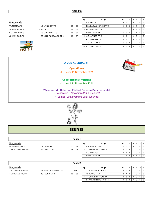#### 3ème journée

T.T. METTRAY 3 - US LA RICHE TT 5 05 05 05 P.L. PAUL BERT 3 - A.P. ABILLY 1 02 08 PPC MARTINOIS 3 - ES OESIENNE TT 3 08 02 A.S. LUYNES T.T 3 - ES VILLE AUX DAMES TT 6 03 07



| Rg | Equipe                          | PT | J | v        | N | D              | P | F            |
|----|---------------------------------|----|---|----------|---|----------------|---|--------------|
| 1  | A.P. ABILLY 1                   | 9  | 3 | 3        | 0 | U              | O | $\Omega$     |
|    | <b>IES VILLE AUX DAMES TT 6</b> | 9  | 3 | 3        | U | ŋ              | 0 | $\Omega$     |
| 3  | <b>IPPC MARTINOIS 3</b>         | 7  | 3 | 2        | 0 |                | ŋ | $\Omega$     |
| 4  | <b>IUS LA RICHE TT 5</b>        | 6  | 3 |          |   |                | ŋ | $\Omega$     |
| 5  | <b>IA.S. LUYNES T.T 3</b>       | 5  | 3 |          | ŋ | $\overline{2}$ | O | <sup>n</sup> |
|    | <b>IES OESIENNE TT 3</b>        | 5  | 3 |          | ŋ | 2              | 0 | <sup>n</sup> |
| 7  | T.T. METTRAY 3                  | 4  | 3 | $\Omega$ |   | $\overline{2}$ | O | $\Omega$     |
| 8  | IP.L. PAUL BERT 3               | 3  | 3 | O        | ŋ | 3              | 0 | ŋ            |

4 US LA RICHE TT 1 1 1 0 0 1 0 0

#### A VOS AGENDAS !!!

Open -10 ans

 $\Rightarrow$  Jeudi 11 Novembre 2021

### Coupe Nationale Vétérans

 $\Rightarrow$  Jeudi 11 Novembre 2021

#### Vendredi 19 Novembre 2021 (Seniors) 2ème tour du Critérium Fédéral Echelon Départemental

 $\Rightarrow$  Samedi 20 Novembre 2021 (Jeunes)



# **JEUNES**

1ère journée de la commune de la commune de la commune de la commune de la commune de la commune de la commune<br>1ère journée A.S. FONDETTES 1 - US LA RICHE TT 1 12 04 1 A.S. FONDETTES 1 3 1 1 0 0 0 0 TT MONTS ARTANNES 1 - A.C. AMBOISE 1 08 08  $\sqrt{2}$  TT MONTS ARTANNES 1  $\sqrt{2}$  1 0 1 0 0 0  $AC. AMBOISE 1$  2 1 0 1 0 0 0 Poule 1

|                     |                          | Poule 2   |    |                                |    |   |   |   |   |                 |
|---------------------|--------------------------|-----------|----|--------------------------------|----|---|---|---|---|-----------------|
| 1ère journée        |                          |           | Rg | Equipe                         | РT |   | v | N | D | <b>PIF</b>      |
| TT CORMERY-TRUYES 1 | - ST AVERTIN SPORTS TT 1 | <b>NP</b> |    | <b>ITT JOUE LES TOURS 1</b>    |    |   |   |   | U | $\overline{1}0$ |
| TT JOUE LES TOURS 1 | - 4S TOURS T.T. 1        | 08<br>08  |    | <b>4S TOURS T.T. 1</b>         |    |   |   |   |   | $\overline{0}$  |
|                     |                          |           |    | <b>ITT CORMERY-TRUYES 1</b>    |    | 0 |   | 0 |   | 1 O             |
|                     |                          |           |    | <b>IST AVERTIN SPORTS TT 1</b> |    | Ü |   | 0 |   | $\overline{0}$  |